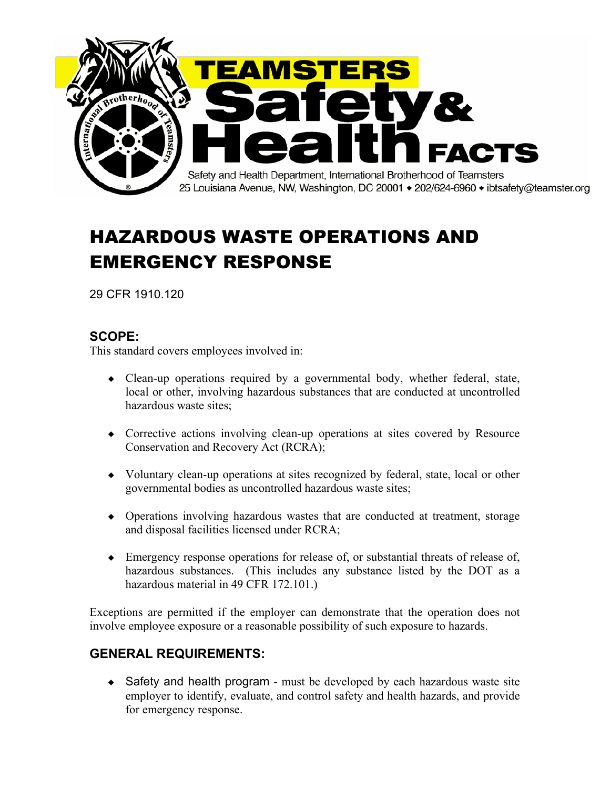

## HAZARDOUS WASTE OPERATIONS AND EMERGENCY RESPONSE

29 CFR 1910.120

## **SCOPE:**

This standard covers employees involved in:

- $\bullet$  Clean-up operations required by a governmental body, whether federal, state, local or other, involving hazardous substances that are conducted at uncontrolled hazardous waste sites;
- Corrective actions involving clean-up operations at sites covered by Resource Conservation and Recovery Act (RCRA);
- Voluntary clean-up operations at sites recognized by federal, state, local or other governmental bodies as uncontrolled hazardous waste sites;
- Operations involving hazardous wastes that are conducted at treatment, storage and disposal facilities licensed under RCRA;
- $\bullet$  Emergency response operations for release of, or substantial threats of release of, hazardous substances. (This includes any substance listed by the DOT as a hazardous material in 49 CFR 172.101.)

Exceptions are permitted if the employer can demonstrate that the operation does not involve employee exposure or a reasonable possibility of such exposure to hazards.

## **GENERAL REQUIREMENTS:**

 $\triangle$  Safety and health program - must be developed by each hazardous waste site employer to identify, evaluate, and control safety and health hazards, and provide for emergency response.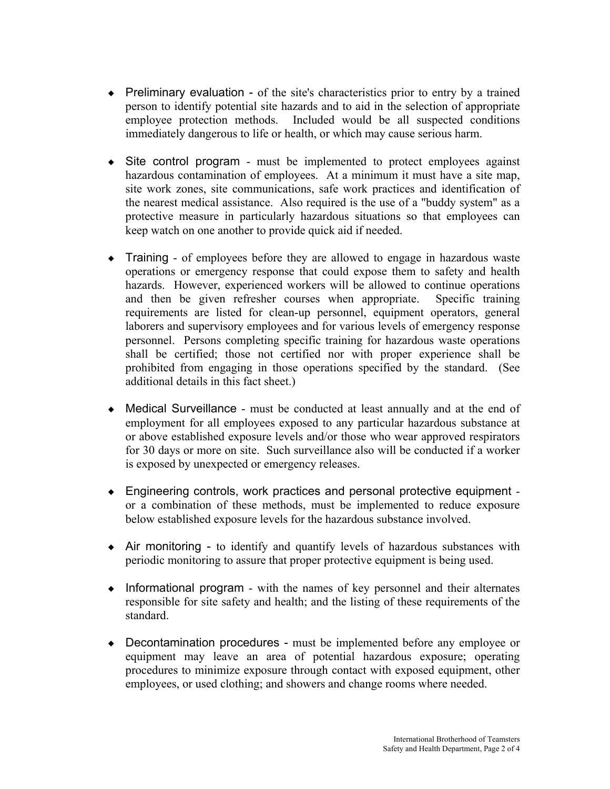- $\bullet$  Preliminary evaluation of the site's characteristics prior to entry by a trained person to identify potential site hazards and to aid in the selection of appropriate employee protection methods. Included would be all suspected conditions immediately dangerous to life or health, or which may cause serious harm.
- $\bullet$  Site control program must be implemented to protect employees against hazardous contamination of employees. At a minimum it must have a site map, site work zones, site communications, safe work practices and identification of the nearest medical assistance. Also required is the use of a "buddy system" as a protective measure in particularly hazardous situations so that employees can keep watch on one another to provide quick aid if needed.
- Training of employees before they are allowed to engage in hazardous waste operations or emergency response that could expose them to safety and health hazards. However, experienced workers will be allowed to continue operations and then be given refresher courses when appropriate. Specific training requirements are listed for clean-up personnel, equipment operators, general laborers and supervisory employees and for various levels of emergency response personnel. Persons completing specific training for hazardous waste operations shall be certified; those not certified nor with proper experience shall be prohibited from engaging in those operations specified by the standard. (See additional details in this fact sheet.)
- Medical Surveillance must be conducted at least annually and at the end of employment for all employees exposed to any particular hazardous substance at or above established exposure levels and/or those who wear approved respirators for 30 days or more on site. Such surveillance also will be conducted if a worker is exposed by unexpected or emergency releases.
- Engineering controls, work practices and personal protective equipment or a combination of these methods, must be implemented to reduce exposure below established exposure levels for the hazardous substance involved.
- Air monitoring to identify and quantify levels of hazardous substances with periodic monitoring to assure that proper protective equipment is being used.
- $\bullet$  Informational program with the names of key personnel and their alternates responsible for site safety and health; and the listing of these requirements of the standard.
- Decontamination procedures must be implemented before any employee or equipment may leave an area of potential hazardous exposure; operating procedures to minimize exposure through contact with exposed equipment, other employees, or used clothing; and showers and change rooms where needed.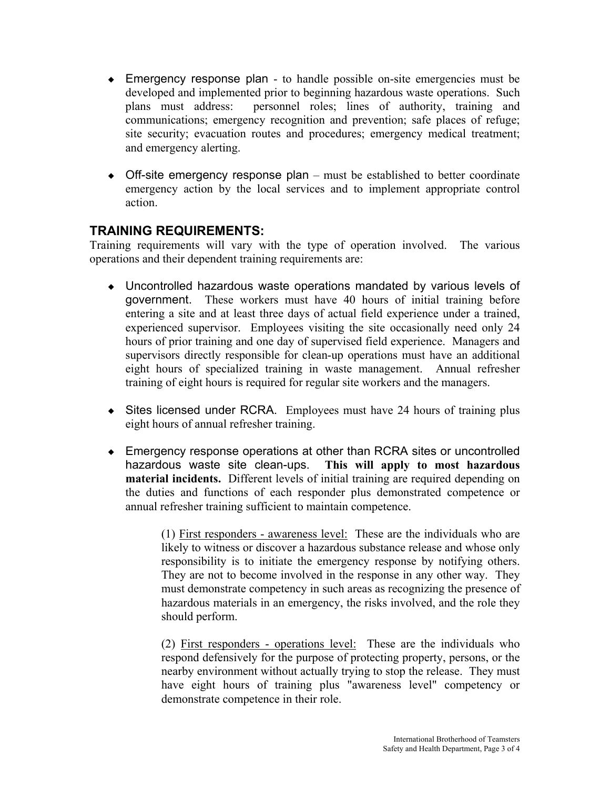- Emergency response plan to handle possible on-site emergencies must be developed and implemented prior to beginning hazardous waste operations. Such plans must address: personnel roles; lines of authority, training and communications; emergency recognition and prevention; safe places of refuge; site security; evacuation routes and procedures; emergency medical treatment; and emergency alerting.
- $\bullet$  Off-site emergency response plan must be established to better coordinate emergency action by the local services and to implement appropriate control action.

## **TRAINING REQUIREMENTS:**

Training requirements will vary with the type of operation involved. The various operations and their dependent training requirements are:

- Uncontrolled hazardous waste operations mandated by various levels of government. These workers must have 40 hours of initial training before entering a site and at least three days of actual field experience under a trained, experienced supervisor. Employees visiting the site occasionally need only 24 hours of prior training and one day of supervised field experience. Managers and supervisors directly responsible for clean-up operations must have an additional eight hours of specialized training in waste management. Annual refresher training of eight hours is required for regular site workers and the managers.
- $\bullet$  Sites licensed under RCRA. Employees must have 24 hours of training plus eight hours of annual refresher training.
- Emergency response operations at other than RCRA sites or uncontrolled hazardous waste site clean-ups. **This will apply to most hazardous material incidents.** Different levels of initial training are required depending on the duties and functions of each responder plus demonstrated competence or annual refresher training sufficient to maintain competence.

 (1) First responders - awareness level: These are the individuals who are likely to witness or discover a hazardous substance release and whose only responsibility is to initiate the emergency response by notifying others. They are not to become involved in the response in any other way. They must demonstrate competency in such areas as recognizing the presence of hazardous materials in an emergency, the risks involved, and the role they should perform.

 (2) First responders - operations level: These are the individuals who respond defensively for the purpose of protecting property, persons, or the nearby environment without actually trying to stop the release. They must have eight hours of training plus "awareness level" competency or demonstrate competence in their role.